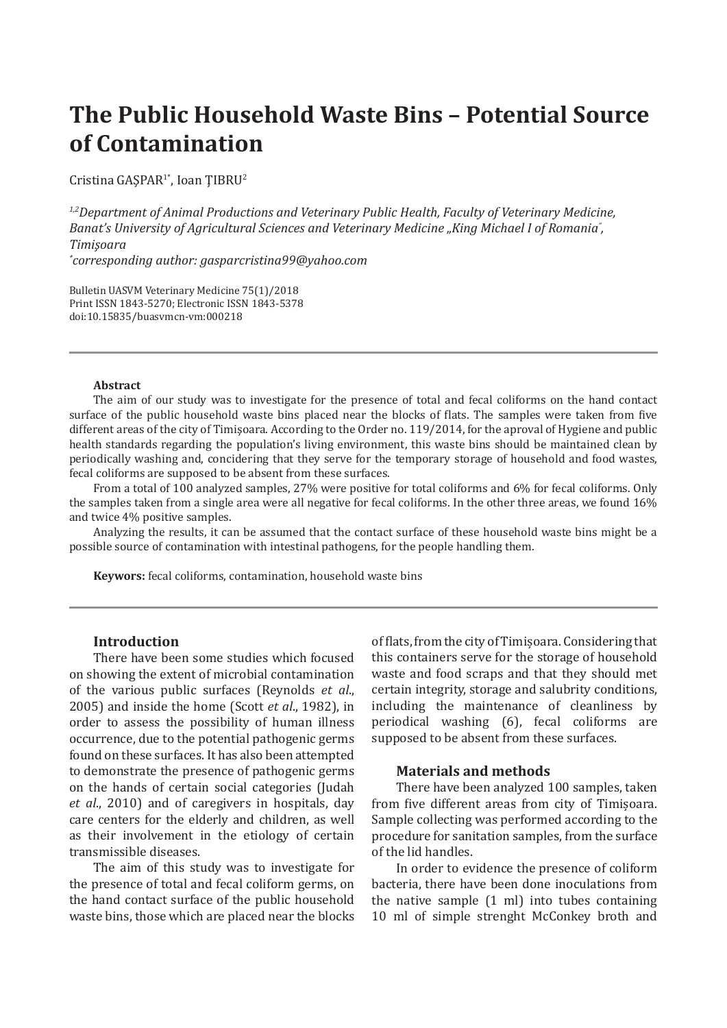# **The Public Household Waste Bins – Potential Source of Contamination**

Cristina GASPAR<sup>1\*</sup>, Ioan TIBRU<sup>2</sup>

*1,2Department of Animal Productions and Veterinary Public Health, Faculty of Veterinary Medicine,*  Banat's University of Agricultural Sciences and Veterinary Medicine "King Michael I of Romania<sup>"</sup>, *Timişoara*

*\* corresponding author: gasparcristina99@yahoo.com*

Bulletin UASVM Veterinary Medicine 75(1)/2018 Print ISSN 1843-5270; Electronic ISSN 1843-5378 doi:10.15835/buasvmcn-vm:000218

#### **Abstract**

The aim of our study was to investigate for the presence of total and fecal coliforms on the hand contact surface of the public household waste bins placed near the blocks of flats. The samples were taken from five different areas of the city of Timişoara. According to the Order no. 119/2014, for the aproval of Hygiene and public health standards regarding the population's living environment, this waste bins should be maintained clean by periodically washing and, concidering that they serve for the temporary storage of household and food wastes, fecal coliforms are supposed to be absent from these surfaces.

From a total of 100 analyzed samples, 27% were positive for total coliforms and 6% for fecal coliforms. Only the samples taken from a single area were all negative for fecal coliforms. In the other three areas, we found 16% and twice 4% positive samples.

Analyzing the results, it can be assumed that the contact surface of these household waste bins might be a possible source of contamination with intestinal pathogens, for the people handling them.

**Keywors:** fecal coliforms, contamination, household waste bins

### **Introduction**

There have been some studies which focused on showing the extent of microbial contamination of the various public surfaces (Reynolds *et al*., 2005) and inside the home (Scott *et al*., 1982), in order to assess the possibility of human illness occurrence, due to the potential pathogenic germs found on these surfaces. It has also been attempted to demonstrate the presence of pathogenic germs on the hands of certain social categories (Judah *et al*., 2010) and of caregivers in hospitals, day care centers for the elderly and children, as well as their involvement in the etiology of certain transmissible diseases.

The aim of this study was to investigate for the presence of total and fecal coliform germs, on the hand contact surface of the public household waste bins, those which are placed near the blocks

of flats, from the city of Timișoara. Considering that this containers serve for the storage of household waste and food scraps and that they should met certain integrity, storage and salubrity conditions, including the maintenance of cleanliness by periodical washing (6), fecal coliforms are supposed to be absent from these surfaces.

### **Materials and methods**

There have been analyzed 100 samples, taken from five different areas from city of Timișoara. Sample collecting was performed according to the procedure for sanitation samples, from the surface of the lid handles.

In order to evidence the presence of coliform bacteria, there have been done inoculations from the native sample (1 ml) into tubes containing 10 ml of simple strenght McConkey broth and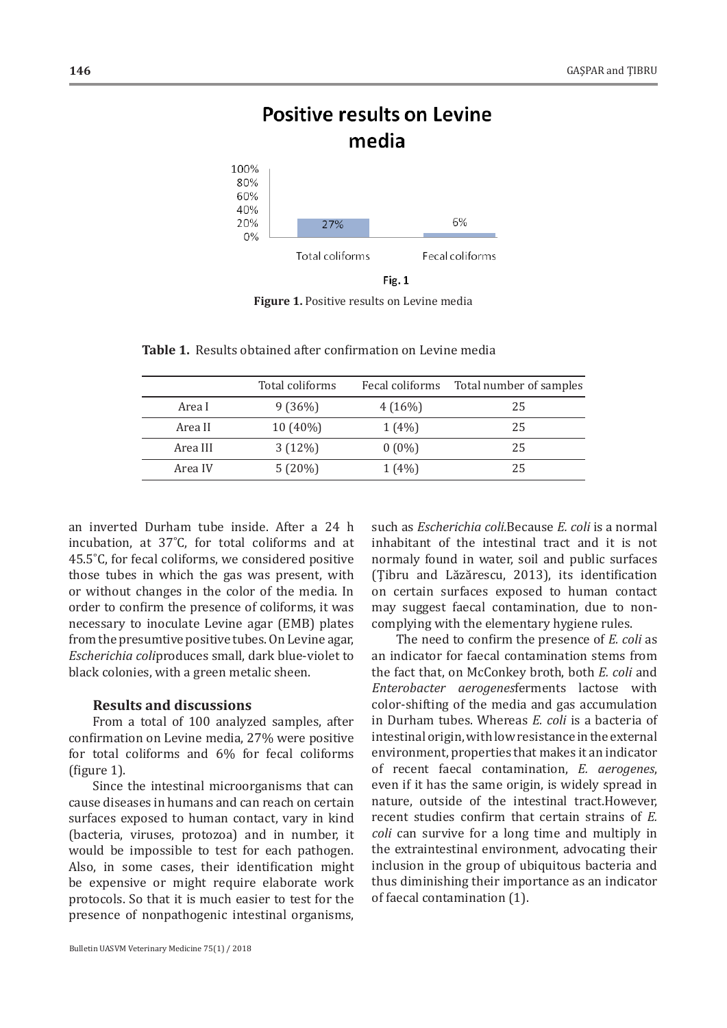## **Positive results on Levine** media



Fig. 1

**Figure 1.** Positive results on Levine media

|          | Total coliforms | Fecal coliforms | Total number of samples |
|----------|-----------------|-----------------|-------------------------|
| Area I   | 9(36%)          | $4(16\%)$       | 25                      |
| Area II  | $10(40\%)$      | $1(4\%)$        | 25                      |
| Area III | 3(12%)          | $0(0\%)$        | 25                      |
| Area IV  | 5(20%)          | $1(4\%)$        | 25                      |

**Table 1.** Results obtained after confirmation on Levine media

an inverted Durham tube inside. After a 24 h incubation, at 37˚C, for total coliforms and at 45.5˚C, for fecal coliforms, we considered positive those tubes in which the gas was present, with or without changes in the color of the media. In order to confirm the presence of coliforms, it was necessary to inoculate Levine agar (EMB) plates from the presumtive positive tubes.On Levine agar, *Escherichia coli*produces small, dark blue-violet to black colonies, with a green metalic sheen.

## **Results and discussions**

From a total of 100 analyzed samples, after confirmation on Levine media, 27% were positive for total coliforms and 6% for fecal coliforms (figure 1).

Since the intestinal microorganisms that can cause diseases in humans and can reach on certain surfaces exposed to human contact, vary in kind (bacteria, viruses, protozoa) and in number, it would be impossible to test for each pathogen. Also, in some cases, their identification might be expensive or might require elaborate work protocols. So that it is much easier to test for the presence of nonpathogenic intestinal organisms,

such as *Escherichia coli.*Because *E. coli* is a normal inhabitant of the intestinal tract and it is not normaly found in water, soil and public surfaces (Ţibru and Lăzărescu, 2013), its identification on certain surfaces exposed to human contact may suggest faecal contamination, due to noncomplying with the elementary hygiene rules.

The need to confirm the presence of *E. coli* as an indicator for faecal contamination stems from the fact that, on McConkey broth, both *E. coli* and *Enterobacter aerogenes*ferments lactose with color-shifting of the media and gas accumulation in Durham tubes. Whereas *E. coli* is a bacteria of intestinalorigin,withlowresistance inthe external environment, properties that makes it an indicator of recent faecal contamination, *E. aerogenes*, even if it has the same origin, is widely spread in nature, outside of the intestinal tract.However, recent studies confirm that certain strains of *E. coli* can survive for a long time and multiply in the extraintestinal environment, advocating their inclusion in the group of ubiquitous bacteria and thus diminishing their importance as an indicator of faecal contamination (1).